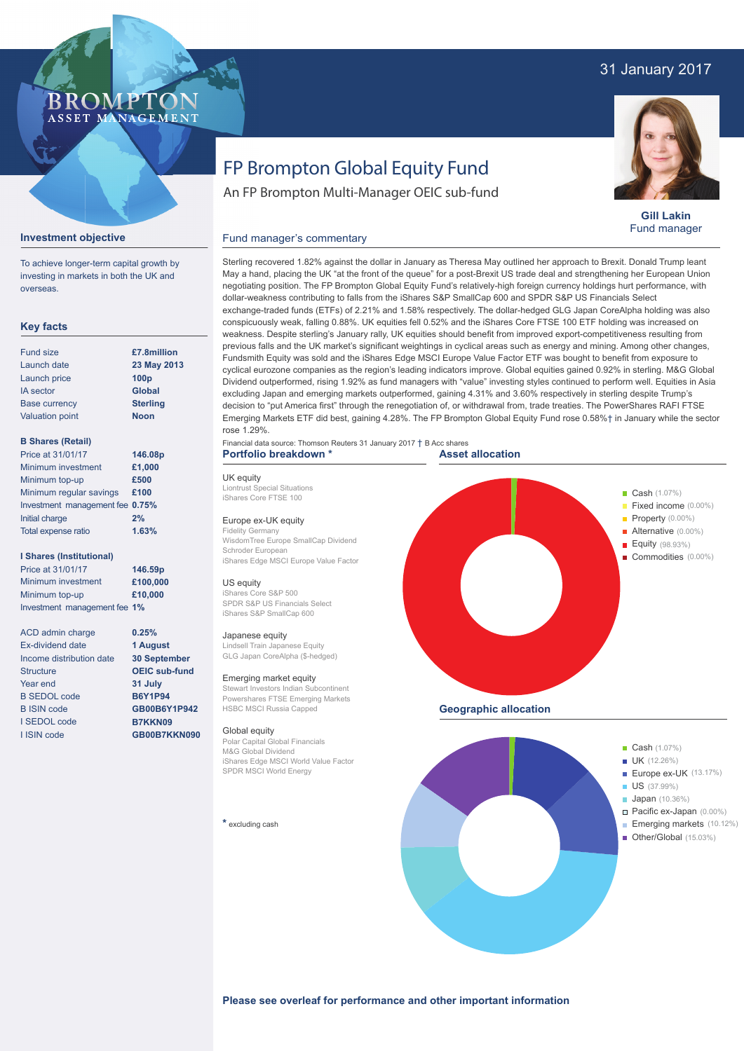## 31 January 2017



**Gill Lakin** Fund manager

# FP Brompton Global Equity Fund

An FP Brompton Multi-Manager OEIC sub-fund

Sterling recovered 1.82% against the dollar in January as Theresa May outlined her approach to Brexit. Donald Trump leant May a hand, placing the UK "at the front of the queue" for a post-Brexit US trade deal and strengthening her European Union negotiating position. The FP Brompton Global Equity Fund's relatively-high foreign currency holdings hurt performance, with

exchange-traded funds (ETFs) of 2.21% and 1.58% respectively. The dollar-hedged GLG Japan CoreAlpha holding was also conspicuously weak, falling 0.88%. UK equities fell 0.52% and the iShares Core FTSE 100 ETF holding was increased on

dollar-weakness contributing to falls from the iShares S&P SmallCap 600 and SPDR S&P US Financials Select

### **Investment objective**

To achieve longer-term capital growth by investing in markets in both the UK and overseas.

BROMP

ASSET MANAGEMENT

#### **Key facts**

| <b>Fund size</b>       | £7.8milli        |
|------------------------|------------------|
| Launch date            | 23 May 2         |
| Launch price           | 100 <sub>p</sub> |
| <b>IA</b> sector       | <b>Global</b>    |
| <b>Base currency</b>   | <b>Sterling</b>  |
| <b>Valuation point</b> | <b>Noon</b>      |

#### **B Shares (Retail)**

| Price at 31/01/17               | 146.08 |
|---------------------------------|--------|
| Minimum investment              | £1,000 |
| Minimum top-up                  | £500   |
| Minimum regular savings         | £100   |
| Investment management fee 0.75% |        |
| Initial charge                  | 2%     |
| Total expense ratio             | 1.63%  |
|                                 |        |

#### **I Shares (Institutional)**

Minimum investment Minimum top-up Investment management fee **1% £100,000 £10,000** Price at 31/01/17 **146.59p**

> **0.25% 1 August 30 September OEIC sub-fund 31 July B6Y1P94 GB00B6Y1P942 B7KKN09 GB00B7KKN090**

ACD admin charge Ex-dividend date Income distribution date **Structure** Year end B SEDOL code B ISIN code I SEDOL code I ISIN code

weakness. Despite sterling's January rally, UK equities should benefit from improved export-competitiveness resulting from previous falls and the UK market's significant weightings in cyclical areas such as energy and mining. Among other changes, Fundsmith Equity was sold and the iShares Edge MSCI Europe Value Factor ETF was bought to benefit from exposure to cyclical eurozone companies as the region's leading indicators improve. Global equities gained 0.92% in sterling. M&G Global Dividend outperformed, rising 1.92% as fund managers with "value" investing styles continued to perform well. Equities in Asia excluding Japan and emerging markets outperformed, gaining 4.31% and 3.60% respectively in sterling despite Trump's decision to "put America first" through the renegotiation of, or withdrawal from, trade treaties. The PowerShares RAFI FTSE rose 1.29%. Financial data source: Thomson Reuters 31 January 2017 † B Acc shares **Portfolio breakdown \* 23 May 2013 Noon £7.8million 146.08p**

> UK equity Liontrust Special Situations

# iShares Core FTSE 100

Europe ex-UK equity Fidelity Germany

WisdomTree Europe SmallCap Dividend Schroder European iShares Edge MSCI Europe Value Factor

Fund manager's commentary

#### US equity

iShares Core S&P 500 SPDR S&P US Financials Select iShares S&P SmallCap 600

#### Japanese equity

Lindsell Train Japanese Equity GLG Japan CoreAlpha (\$-hedged)

#### Emerging market equity

Stewart Investors Indian Subcontinent Powershares FTSE Emerging Markets HSBC MSCI Russia Capped

#### Global equity

Polar Capital Global Financials M&G Global Dividend iShares Edge MSCI World Value Factor SPDR MSCI World Energy

#### **\*** excluding cash





**Please see overleaf for performance and other important information**